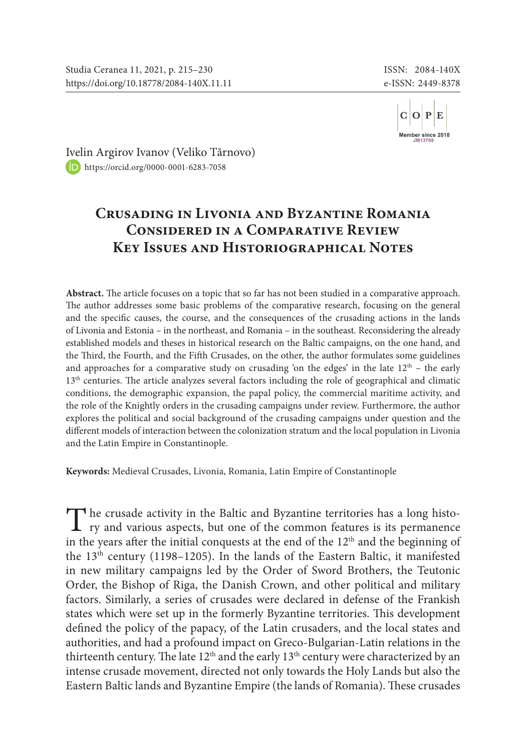

[Ivel](https://orcid.org/0000-0001-6283-7058)in Argirov Ivanov (Veliko Tărnovo) <https://orcid.org/0000-0001-6283-7058>

## **Crusading in Livonia and Byzantine Romania Considered in a Comparative Review Key Issues and Historiographical Notes**

**Abstract.** The article focuses on a topic that so far has not been studied in a comparative approach. The author addresses some basic problems of the comparative research, focusing on the general and the specific causes, the course, and the consequences of the crusading actions in the lands of Livonia and Estonia – in the northeast, and Romania – in the southeast. Reconsidering the already established models and theses in historical research on the Baltic campaigns, on the one hand, and the Third, the Fourth, and the Fifth Crusades, on the other, the author formulates some guidelines and approaches for a comparative study on crusading 'on the edges' in the late  $12<sup>th</sup>$  – the early 13<sup>th</sup> centuries. The article analyzes several factors including the role of geographical and climatic conditions, the demographic expansion, the papal policy, the commercial maritime activity, and the role of the Knightly orders in the crusading campaigns under review. Furthermore, the author explores the political and social background of the crusading campaigns under question and the different models of interaction between the colonization stratum and the local population in Livonia and the Latin Empire in Constantinople.

**Keywords:** Medieval Crusades, Livonia, Romania, Latin Empire of Constantinople

The crusade activity in the Baltic and Byzantine territories has a long histo-<br>ry and various aspects, but one of the common features is its permanence in the years after the initial conquests at the end of the 12<sup>th</sup> and the beginning of the 13<sup>th</sup> century (1198–1205). In the lands of the Eastern Baltic, it manifested in new military campaigns led by the Order of Sword Brothers, the Teutonic Order, the Bishop of Riga, the Danish Crown, and other political and military factors. Similarly, а series of crusades were declared in defense of the Frankish states which were set up in the formerly Byzantine territories. This development defined the policy of the papacy, of the Latin crusaders, and the local states and authorities, and had a profound impact on Greco-Bulgarian-Latin relations in the thirteenth century. The late 12<sup>th</sup> and the early 13<sup>th</sup> century were characterized by an intense crusade movement, directed not only towards the Holy Lands but also the Eastern Baltic lands and Byzantine Empire (the lands of Romania). These crusades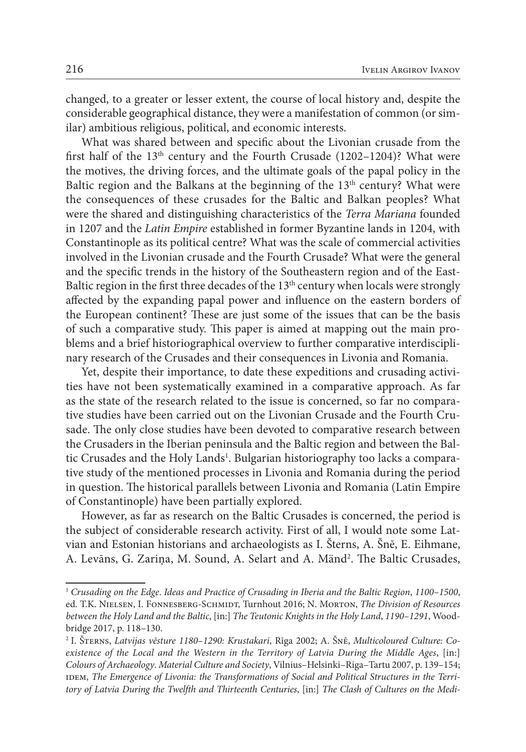changed, to a greater or lesser extent, the course of local history and, despite the considerable geographical distance, they were a manifestation of common (or similar) ambitious religious, political, and economic interests.

What was shared between and specific about the Livonian crusade from the first half of the  $13<sup>th</sup>$  century and the Fourth Crusade (1202–1204)? What were the motives, the driving forces, and the ultimate goals of the papal policy in the Baltic region and the Balkans at the beginning of the 13<sup>th</sup> century? What were the consequences of these crusades for the Baltic and Balkan peoples? What were the shared and distinguishing characteristics of the *Terra Mariana* founded in 1207 and the *Latin Empire* established in former Byzantine lands in 1204, with Constantinople as its political centre? What was the scale of commercial activities involved in the Livonian crusade and the Fourth Crusade? What were the general and the specific trends in the history of the Southeastern region and of the East-Baltic region in the first three decades of the  $13<sup>th</sup>$  century when locals were strongly affected by the expanding papal power and influence on the eastern borders of the European continent? These are just some of the issues that can be the basis of such a comparative study. This paper is aimed at mapping out the main problems and a brief historiographical overview to further comparative interdisciplinary research of the Crusades and their consequences in Livonia and Romania.

Yet, despite their importance, to date these expeditions and crusading activities have not been systematically examined in a comparative approach. As far as the state of the research related to the issue is concerned, so far no comparative studies have been carried out on the Livonian Crusade and the Fourth Crusade. The only close studies have been devoted to comparative research between the Crusaders in the Iberian peninsula and the Baltic region and between the Baltic Crusades and the Holy Lands<sup>1</sup>. Bulgarian historiography too lacks a comparative study of the mentioned processes in Livonia and Romania during the period in question. The historical parallels between Livonia and Romania (Latin Empire of Constantinople) have been partially explored.

However, as far as research on the Baltic Crusades is concerned, the period is the subject of considerable research activity. First of all, I would note some Latvian and Estonian historians and archaeologists as I. Šterns, A. Šnē, E. Eihmane, A. Levāns, G. Zariņa, M. Sound, A. Selart and A. Mänd2 . The Baltic Crusades,

<sup>1</sup> *Crusading on the Edge*. *Ideas and Practice of Crusading in Iberia and the Baltic Region*, *1100*–*1500*, ed. T.K. NIELSEN, I. FONNESBERG-SCHMIDT, Turnhout 2016; N. MORTON, *The Division of Resources between the Holy Land and the Baltic*, [in:] *The Teutonic Knights in the Holy Land*, *1190*–*1291*, Woodbridge 2017, p. 118–130.

<sup>2</sup> I. Šterns, *Latvijas vēsture 1180*–*1290: Krustakari*, Rīga 2002; A. Šnē, *Multicoloured Culture: Coexistence of the Local and the Western in the Territory of Latvia During the Middle Ages*, [in:] *Colours of Archaeology*. *Material Culture and Society*, Vilnius–Helsinki–Riga–Tartu 2007, p. 139–154; IDEM, The Emergence of Livonia: the Transformations of Social and Political Structures in the Terri*tory of Latvia During the Twelfth and Thirteenth Centuries*, [in:] *The Clash of Cultures on the Medi-*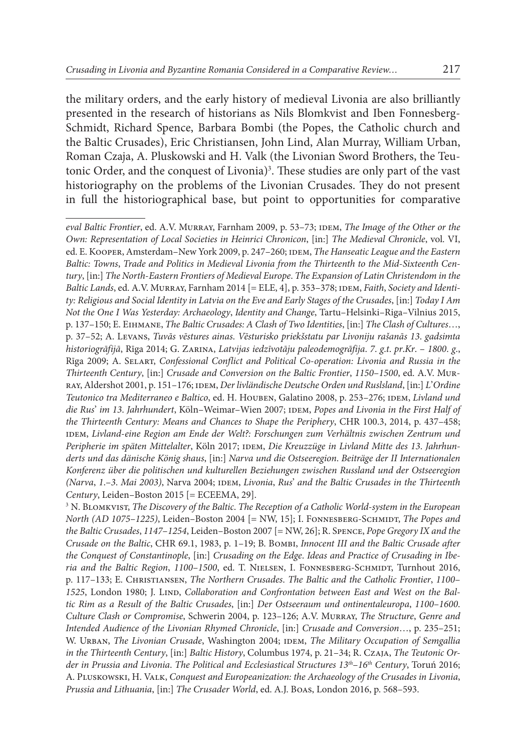the military orders, and the early history of medieval Livonia are also brilliantly presented in the research of historians as Nils Blomkvist and Iben Fonnesberg-Schmidt, Richard Spence, Barbara Bombi (the Popes, the Catholic church and the Baltic Crusades), Eric Christiansen, John Lind, Alan Murray, William Urban, Roman Czaja, A. Pluskowski and H. Valk (the Livonian Sword Brothers, the Teutonic Order, and the conquest of Livonia)<sup>3</sup>. These studies are only part of the vast historiography on the problems of the Livonian Crusades. They do not present in full the historiographical base, but point to opportunities for comparative

*eval Baltic Frontier*, ed. A.V. Murray, Farnham 2009, p. 53–73; idem, *The Image of the Other or the Own: Representation of Local Societies in Heinrici Chronicon*, [in:] *The Medieval Chronicle*, vol. VI, ed. E. Kooper, Amsterdam–New York 2009, p. 247–260; idem, *The Hanseatic League and the Eastern Baltic: Towns*, *Trade and Politics in Medieval Livonia from the Thirteenth to the Mid*-*Sixteenth Century*, [in:] *The North*-*Eastern Frontiers of Medieval Europe*. *The Expansion of Latin Christendom in the*  Baltic Lands, ed. A.V. MURRAY, Farnham 2014 [= ELE, 4], p. 353-378; IDEM, *Faith*, *Society and Identity: Religious and Social Identity in Latvia on the Eve and Early Stages of the Crusades*, [in:] *Today I Am Not the One I Was Yesterday: Archaeology*, *Identity and Change*, Tartu–Helsinki–Riga–Vilnius 2015, p. 137–150; E. Eihmane, *The Baltic Crusades: A Clash of Two Identities*, [in:] *The Clash of Cultures*…, p. 37–52; A. Levans, *Tuvās vēstures ainas*. *Vēsturisko priekšstatu par Livoniju rašanās 13*. *gadsimta historiogrāfijā*, Rīga 2014; G. Zarina, *Latvijas iedzīvotāju paleodemogrāfija*. *7*. *g*.*t*. *pr*.*Kr*. – *1800*. *g*., Rīga 2009; A. Selart, *Confessional Conflict and Political Co*-*operation: Livonia and Russia in the Thirteenth Century*, [in:] *Crusade and Conversion on the Baltic Frontier*, *1150*–*1500*, ed. A.V. Murray, Aldershot 2001, p. 151–176; idem, *Der livländische Deutsche Orden und Ruslsland*, [in:] *L*'*Ordine Teutonico tra Mediterraneo e Baltico*, ed. H. Houben, Galatino 2008, p. 253–276; idem, *Livland und die Rus*' *im 13*. *Jahrhundert*, Köln–Weimar–Wien 2007; idem, *Popes and Livonia in the First Half of the Thirteenth Century: Means and Chances to Shape the Periphery*, CHR 100.3, 2014, p. 437–458; idem, *Livland*-*eine Region am Ende der Welt?: Forschungen zum Verhältnis zwischen Zentrum und*  Peripherie im späten Mittelalter, Köln 2017; IDEM, Die Kreuzzüge in Livland Mitte des 13. Jahrhun*derts und das dänische König shaus*, [in:] *Narva und die Ostseeregion*. *Beiträge der II Internationalen Konferenz über die politischen und kulturellen Beziehungen zwischen Russland und der Ostseeregion (Narva*, *1*.–*3*. *Mai 2003)*, Narva 2004; idem, *Livonia*, *Rus*' *and the Baltic Crusades in the Thirteenth Century*, Leiden–Boston 2015 [= ECEEMA, 29].

<sup>3</sup> N. Blomkvist, *The Discovery of the Baltic*. *The Reception of a Catholic World*-*system in the European North (AD 1075*–*1225)*, Leiden–Boston 2004 [= NW, 15]; I. Fonnesberg-Schmidt, *The Popes and the Baltic Crusades*, *1147*–*1254*, Leiden–Boston 2007 [= NW, 26]; R. Spence, *Pope Gregory IX and the Crusade on the Baltic*, CHR 69.1, 1983, p. 1–19; B. Bombi, *Innocent III and the Baltic Crusade after the Conquest of Constantinople*, [in:] *Crusading on the Edge*. *Ideas and Practice of Crusading in Iberia and the Baltic Region*, *1100*–*1500*, ed. T. Nielsen, I. Fonnesberg-Schmidt, Turnhout 2016, p. 117–133; E. Christiansen, *The Northern Crusades*. *The Baltic and the Catholic Frontier*, *1100*– 1525, London 1980; J. LIND, *Collaboration and Confrontation between East and West on the Baltic Rim as a Result of the Baltic Crusades*, [in:] *Der Ostseeraum und ontinentaleuropa*, *1100*–*1600*. *Culture Clash or Compromise*, Schwerin 2004, p. 123–126; A.V. Murray, *The Structure*, *Genre and Intended Audience of the Livonian Rhymed Chronicle*, [in:] *Crusade and Conversion*…, p. 235–251; W. URBAN, *The Livonian Crusade*, Washington 2004; IDEM, *The Military Occupation of Semgallia in the Thirteenth Century*, [in:] *Baltic History*, Columbus 1974, p. 21–34; R. Czaja, *The Teutonic Order in Prussia and Livonia*. *The Political and Ecclesiastical Structures 13th*–*16th Century*, Toruń 2016; A. Pluskowski, H. Valk, *Conquest and Europeanization: the Archaeology of the Crusades in Livonia*, *Prussia and Lithuania*, [in:] *The Crusader World*, ed. A.J. Boas, London 2016, p. 568–593.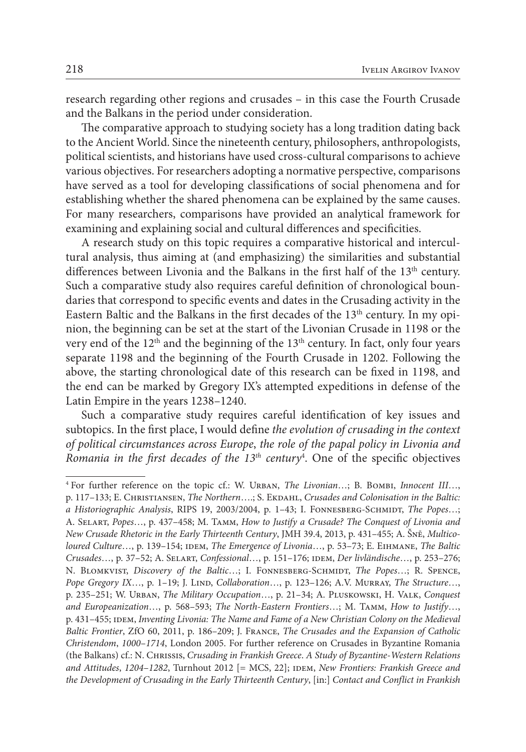research regarding other regions and crusades – in this case the Fourth Crusade and the Balkans in the period under consideration.

The comparative approach to studying society has a long tradition dating back to the Ancient World. Since the nineteenth century, philosophers, anthropologists, political scientists, and historians have used cross-cultural comparisons to achieve various objectives. For researchers adopting a normative perspective, comparisons have served as a tool for developing classifications of social phenomena and for establishing whether the shared phenomena can be explained by the same causes. For many researchers, comparisons have provided an analytical framework for examining and explaining social and cultural differences and specificities.

A research study on this topic requires a comparative historical and intercultural analysis, thus aiming at (and emphasizing) the similarities and substantial differences between Livonia and the Balkans in the first half of the 13<sup>th</sup> century. Such a comparative study also requires careful definition of chronological boundaries that correspond to specific events and dates in the Crusading activity in the Eastern Baltic and the Balkans in the first decades of the  $13<sup>th</sup>$  century. In my opinion, the beginning can be set at the start of the Livonian Crusade in 1198 or the very end of the  $12<sup>th</sup>$  and the beginning of the  $13<sup>th</sup>$  century. In fact, only four years separate 1198 and the beginning of the Fourth Crusade in 1202. Following the above, the starting chronological date of this research can be fixed in 1198, and the end can be marked by Gregory IX's attempted expeditions in defense of the Latin Empire in the years 1238–1240.

Such a comparative study requires careful identification of key issues and subtopics. In the first place, I would define *the evolution of crusading in the context of political circumstances across Europe*, *the role of the papal policy in Livonia and Romania in the first decades of the*  $13<sup>th</sup>$  *century<sup>4</sup>. One of the specific objectives* 

<sup>4</sup> For further reference on the topic cf.: W. Urban, *The Livonian*…; B. Bombi, *Innocent III*…, p. 117–133; E. CHRISTIANSEN, *The Northern*….; S. EKDAHL, *Crusades and Colonisation in the Baltic: a Historiographic Analysis*, RIPS 19, 2003/2004, p. 1–43; I. Fonnesberg-Schmidt, *The Popes*…; A. Selart, *Popes*…, p. 437–458; M. Tamm, *How to Justify a Crusade? The Conquest of Livonia and New Crusade Rhetoric in the Early Thirteenth Century*, JMH 39.4, 2013, p. 431–455; A. Šnē, *Multicoloured Culture*…, p. 139–154; IDEM, *The Emergence of Livonia*…, p. 53–73; E. EIHMANE, *The Baltic Crusades*…, p. 37–52; A. Selart, *Confessional*…, p. 151–176; idem, *Der livländische*…, p. 253–276; N. BLOMKVIST, *Discovery of the Baltic*…; I. FONNESBERG-SCHMIDT, *The Popes*…; R. SPENCE, *Pope Gregory IX*…, p. 1–19; J. Lind, *Collaboration*…, p. 123–126; A.V. Murray, *The Structure*…, p. 235–251; W. Urban, *The Military Occupation*…, p. 21–34; A. Pluskowski, H. Valk, *Conquest and Europeanization*…, p. 568–593; *The North*-*Eastern Frontiers*…; M. Tamm, *How to Justify*…, p. 431–455; IDEM, *Inventing Livonia: The Name and Fame of a New Christian Colony on the Medieval Baltic Frontier*, ZfO 60, 2011, p. 186–209; J. France, *The Crusades and the Expansion of Catholic Christendom*, *1000*–*1714*, London 2005. For further reference on Crusades in Byzantine Romania (the Balkans) cf.: N. Chrissis, *Crusading in Frankish Greece*. *A Study of Byzantine*-*Western Relations and Attitudes*, *1204*–*1282*, Turnhout 2012 [= MCS, 22]; idem, *New Frontiers: Frankish Greece and the Development of Crusading in the Early Thirteenth Century*, [in:] *Contact and Conflict in Frankish*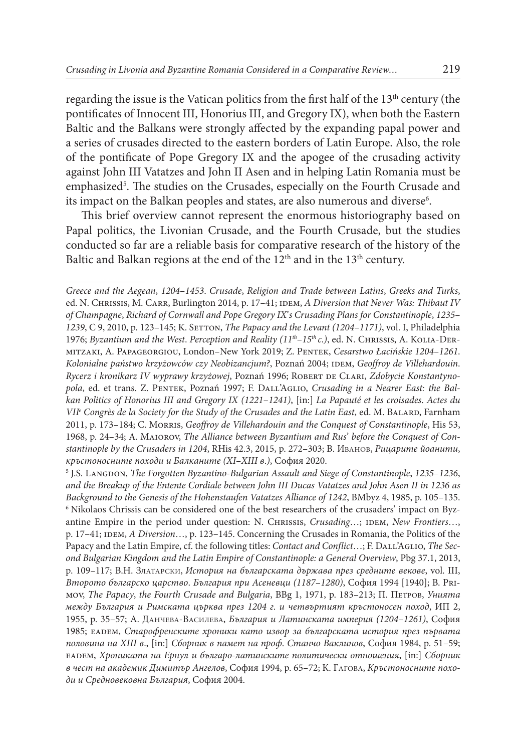regarding the issue is the Vatican politics from the first half of the  $13<sup>th</sup>$  century (the pontificates of Innocent III, Honorius III, and Gregory IX), when both the Eastern Baltic and the Balkans were strongly affected by the expanding papal power and a series of crusades directed to the eastern borders of Latin Europe. Also, the role of the pontificate of Pope Gregory IX and the apogee of the crusading activity against John III Vatatzes and John II Asen and in helping Latin Romania must be emphasized<sup>5</sup>. The studies on the Crusades, especially on the Fourth Crusade and its impact on the Balkan peoples and states, are also numerous and diverse $\rm ^6$ .

This brief overview cannot represent the enormous historiography based on Papal politics, the Livonian Crusade, and the Fourth Crusade, but the studies conducted so far are a reliable basis for comparative research of the history of the Baltic and Balkan regions at the end of the 12<sup>th</sup> and in the 13<sup>th</sup> century.

*Greece and the Aegean*, *1204*–*1453*. *Crusade*, *Religion and Trade between Latins*, *Greeks and Turks*, ed. N. CHRISSIS, M. CARR, Burlington 2014, p. 17-41; IDEM, *A Diversion that Never Was: Thibaut IV of Champagne*, *Richard of Cornwall and Pope Gregory IX*'*s Crusading Plans for Constantinople*, *1235*– *1239*, C 9, 2010, p. 123–145; K. Setton, *The Papacy and the Levant (1204*–*1171)*, vol. I, Philadelphia 1976; *Byzantium and the West*. *Perception and Reality (11th*–*15th c*.*)*, ed. N. Chrissis, A. Kolia-Dermitzaki, A. Papageorgiou, London–New York 2019; Z. Pentek, *Cesarstwo Łacińskie 1204*–*1261*. Kolonialne państwo krzyżowców czy Neobizancjum?, Poznań 2004; IDEM, Geoffroy de Villehardouin. *Rycerz i kronikarz IV wyprawy krzyżowej*, Poznań 1996; Robert de Clari, *Zdobycie Konstantyno*pola, ed. et trans. Z. PENTEK, Poznań 1997; F. DALL'AGLIO, Crusading in a Nearer East: the Bal*kan Politics of Honorius III and Gregory IX (1221*–*1241)*, [in:] *La Papauté et les croisades*. *Actes du VIIe Congrès de la Society for the Study of the Crusades and the Latin East*, ed. M. Balard, Farnham 2011, p. 173–184; C. Morris, *Geoffroy de Villehardouin and the Conquest of Constantinople*, His 53, 1968, p. 24–34; A. Maiorov, *The Alliance between Byzantium and Rus*' *before the Conquest of Constantinople by the Crusaders in 1204*, RHis 42.3, 2015, p. 272–303; В. Иванов, *Рицарите йоанити*, *кръстоносните походи и Балканите (XI*–*XIII в*.*)*, София 2020.

<sup>5</sup> J.S. Langdon, *The Forgotten Byzantino*-*Bulgarian Assault and Siege of Constantinople*, *1235*–*1236*, *and the Breakup of the Entente Cordiale between John III Ducas Vatatzes and John Asen II in 1236 as Background to the Genesis of the Hohenstaufen Vatatzes Alliance of 1242*, BMbyz 4, 1985, p. 105–135. <sup>6</sup> Nikolaos Chrissis can be considered one of the best researchers of the crusaders' impact on Byzantine Empire in the period under question: N. CHRISSIS, *Crusading...*; IDEM, *New Frontiers...*, p. 17–41; IDEM, *A Diversion*…, p. 123–145. Concerning the Crusades in Romania, the Politics of the Papacy and the Latin Empire, cf. the following titles: *Contact and Conflict*…; F. DALL'AGLIO, *The Second Bulgarian Kingdom and the Latin Empire of Constantinople: a General Overview*, Pbg 37.1, 2013, p. 109–117; B.H. Златарски, *История на българската държава през средните векове*, vol. ІІІ, *Второто българско царство*. *България при Асеневци (1187*–*1280)*, София 1994 [1940]; B. Primov, *The Papacy*, *the Fourth Crusade and Bulgaria*, BBg 1, 1971, p. 183–213; П. Петров, *Унията между България и Римската църква през 1204 г*. *и четвъртият кръстоносен поход*, ИП 2, 1955, p. 35–57; А. Данчева-Василева, *България и Латинската империя (1204*–*1261)*, София 1985; eadem, *Старофренските хроники като извор за българската история през първата половина на ХІІІ в*., [in:] *Сборник в памет на проф*. *Станчо Ваклинов*, София 1984, p. 51–59; eadem, *Хрониката на Ернул и българо*-*латинските политически отношения*, [in:] *Сборник в чест на академик Димитър Ангелов*, София 1994, p. 65–72; К. Гагова, *Кръстоносните походи и Средновековна България*, София 2004.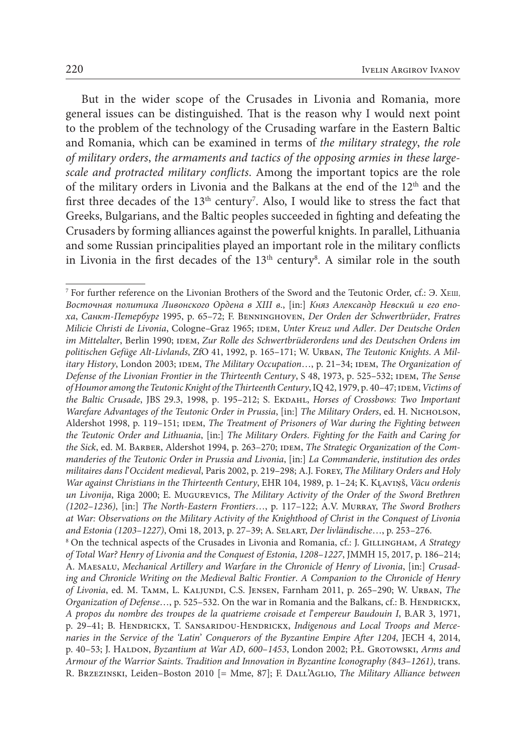But in the wider scope of the Crusades in Livonia and Romania, more general issues can be distinguished. That is the reason why I would next point to the problem of the technology of the Crusading warfare in the Eastern Baltic and Romania, which can be examined in terms of *the military strategy*, *the role of military orders*, *the armaments and tactics of the opposing armies in these largescale and protracted military conflicts*. Among the important topics are the role of the military orders in Livonia and the Balkans at the end of the 12th and the first three decades of the  $13<sup>th</sup>$  century<sup>7</sup>. Also, I would like to stress the fact that Greeks, Bulgarians, and the Baltic peoples succeeded in fighting and defeating the Crusaders by forming alliances against the powerful knights. In parallel, Lithuania and some Russian principalities played an important role in the military conflicts in Livonia in the first decades of the  $13<sup>th</sup>$  century<sup>8</sup>. A similar role in the south

<sup>&</sup>lt;sup>7</sup> For further reference on the Livonian Brothers of the Sword and the Teutonic Order, cf.:  $\Theta$ . XEIII. *Восточная политика Ливонского Ордена в ХІІІ в*., [in:] *Княз Александр Невский и его епоха*, *Санкт*-*Петербург* 1995, p. 65–72; F. Benninghoven, *Der Orden der Schwertbrüder*, *Fratres Milicie Christi de Livonia*, Cologne–Graz 1965; idem, *Unter Kreuz und Adler*. *Der Deutsche Orden*   $im$  *Mittelalter*, Berlin 1990; IDEM, *Zur Rolle des Schwertbrüderordens und des Deutschen Ordens im politischen Gefüge Alt*-*Livlands*, ZfO 41, 1992, p. 165–171; W. Urban, *The Teutonic Knights*. *A Military History*, London 2003; IDEM, *The Military Occupation*…, p. 21–34; IDEM, *The Organization of Defense of the Livonian Frontier in the Thirteenth Century*, S 48, 1973, р. 525–532; idem, *The Sense of Houmor among the Teutonic Knight of the Thirteenth Century*, IQ 42, 1979, р. 40–47; idem, *Victims of* the Baltic Crusade, JBS 29.3, 1998, p. 195-212; S. ЕкрАн*L, Horses of Crossbows: Two Important Warefare Advantages of the Teutonic Order in Prussia*, [in:] *The Military Orders*, ed. H. Nicholson, Aldershot 1998, p. 119–151; IDEM, *The Treatment of Prisoners of War during the Fighting between the Teutonic Order and Lithuania*, [in:] *The Military Orders*. *Fighting for the Faith and Caring for*  the Sick, ed. M. BARBER, Aldershot 1994, p. 263-270; IDEM, *The Strategic Organization of the Commanderies of the Teutonic Order in Prussia and Livonia*, [in:] *La Commanderie*, *institution des ordes militaires dans l*'*Occident medieval*, Paris 2002, p. 219–298; A.J. Forey, *The Military Orders and Holy War against Christians in the Thirteenth Century*, EHR 104, 1989, p. 1–24; K. Kļaviņš, *Vācu ordenis un Livonija*, Riga 2000; E. Mugurevics, *The Military Activity of the Order of the Sword Brethren (1202*–*1236)*, [in:] *The North*-*Eastern Frontiers*…, p. 117–122; A.V. Murray, *The Sword Brothers at War: Observations on the Military Activity of the Knighthood of Christ in the Conquest of Livonia and Estonia (1203*–*1227)*, Omi 18, 2013, p. 27–39; A. Selart, *Der livländische*…, p. 253–276. <sup>8</sup> On the technical aspects of the Crusades in Livonia and Romania, cf.: J. GILLINGHAM, *A Strategy of Total War? Henry of Livonia and the Conquest of Estonia*, *1208*–*1227*, JMMH 15, 2017, p. 186–214; A. Maesalu, *Mechanical Artillery and Warfare in the Chronicle of Henry of Livonia*, [in:] *Crusading and Chronicle Writing on the Medieval Baltic Frontier*. *A Companion to the Chronicle of Henry* 

*of Livonia*, ed. M. Tamm, L. Kaljundi, C.S. Jensen, Farnham 2011, p. 265–290; W. Urban, *The Organization of Defense*…, p. 525-532. On the war in Romania and the Balkans, cf.: B. HENDRICKX, *A propos du nombre des troupes de la quatrieme croisade et l*'*empereur Baudouin I*, B.AR 3, 1971, p. 29–41; B. Hendrickx, T. Sansaridou-Hendrickx, *Indigenous and Local Troops and Mercenaries in the Service of the 'Latin*' *Conquerors of the Byzantine Empire After 1204*, JECH 4, 2014, p. 40–53; J. Haldon, *Byzantium at War AD*, *600*–*1453*, London 2002; P.Ł. Grotowski, *Arms and Armour of the Warrior Saints*. *Tradition and Innovation in Byzantine Iconography (843*–*1261)*, trans. R. Brzezinski, Leiden–Boston 2010 [= Mme, 87]; F. Dall'Aglio, *The Military Alliance between*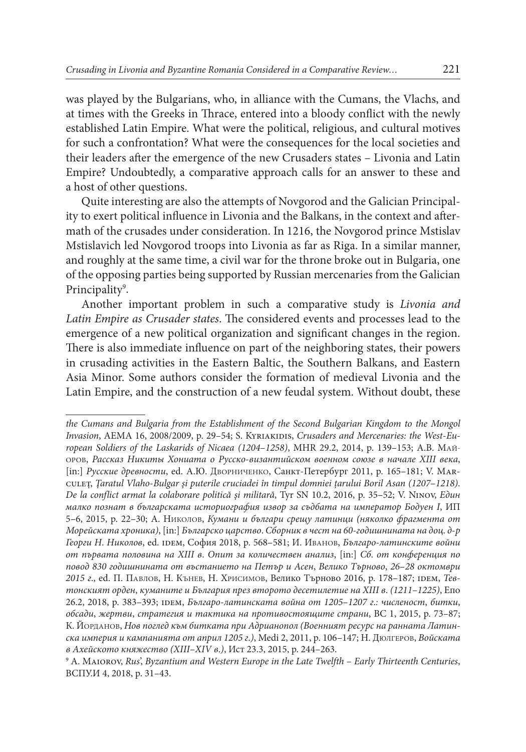was played by the Bulgarians, who, in alliance with the Cumans, the Vlachs, and at times with the Greeks in Thrace, entered into a bloody conflict with the newly established Latin Empire. What were the political, religious, and cultural motives for such a confrontation? What were the consequences for the local societies and their leaders after the emergence of the new Crusaders states – Livonia and Latin Empire? Undoubtedly, a comparative approach calls for an answer to these and a host of other questions.

Quite interesting are also the attempts of Novgorod and the Galician Principality to exert political influence in Livonia and the Balkans, in the context and aftermath of the crusades under consideration. In 1216, the Novgorod prince Mstislav Mstislavich led Novgorod troops into Livonia as far as Riga. In a similar manner, and roughly at the same time, a civil war for the throne broke out in Bulgaria, one of the opposing parties being supported by Russian mercenaries from the Galician Principality<sup>9</sup>.

Another important problem in such a comparative study is *Livonia and Latin Empire as Crusader states*. The considered events and processes lead to the emergence of a new political organization and significant changes in the region. There is also immediate influence on part of the neighboring states, their powers in crusading activities in the Eastern Baltic, the Southern Balkans, and Eastern Asia Minor. Some authors consider the formation of medieval Livonia and the Latin Empire, and the construction of a new feudal system. Without doubt, these

*the Cumans and Bulgaria from the Establishment of the Second Bulgarian Kingdom to the Mongol*  Invasion, AEMA 16, 2008/2009, p. 29-54; S. KYRIAKIDIS, *Crusaders and Mercenaries: the West-European Soldiers of the Laskarids of Nicaea (1204*–*1258)*, MHR 29.2, 2014, p. 139–153; А.В. Майоров, *Рассказ Никиты Хониата о Русско*-*византийском военном союзе в начале XIII века*, [in:] *Русские древности*, ed. А.Ю. Дворниченко, Санкт-Петербург 2011, p. 165–181; V. Marculeț, *Țaratul Vlaho*-*Bulgar și puterile cruciadei în timpul domniei țarului Boril Asan (1207*–*1218)*. *De la conflict armat la colaborare politică și militară*, Tyr SN 10.2, 2016, p. 35–52; V. Ninov, *Един малко познат в българската историография извор за съдбата на император Бодуен I*, ИП 5–6, 2015, p. 22–30; А. Николов, *Кумани и българи срещу латинци (няколко фрагмента от Морейската хроника)*, [in:] *Българско царство*. *Сборник в чест на 60*-*годишнината на доц*. *д*-*р Георги Н*. *Николов*, ed. idem, София 2018, p. 568–581; И. Иванов, *Българо*-*латинските войни от първата половина на XIII в*. *Опит за количествен анализ*, [in:] *Сб*. *от конференция по повод 830 годишнината от въстанието на Петър и Асен*, *Велико Търново*, *26*–*28 октомври 2015 г*., ed. П. Павлов, Н. Кънев, Н. Хрисимов, Велико Търново 2016, p. 178–187; idem, *Тевтонският орден*, *куманите и България през второто десетилетие на XIII в*. *(1211*–*1225)*, Епо 26.2, 2018, p. 383–393; idem, *Българо*-*латинската война от 1205*–*1207 г*.*: численост*, *битки*, *обсади*, *жертви*, *стратегия и тактика на противостоящите страни*, ВС 1, 2015, p. 73–87; К. Йорданов, *Нов поглед към битката при Адрианопол (Военният ресурс на ранната Латинска империя и кампанията от април 1205 г*.*)*, Medi 2, 2011, p. 106–147; Н. ДЮлгеров, *Войската в Ахейското княжество (XIII*–*XIV в*.*)*, Ист 23.3, 2015, p. 244–263.

<sup>9</sup>  А. Maiorov, *Rus*', *Byzantium and Western Europe in the Late Twelfth* – *Early Thirteenth Centuries*, ВСПУ.И 4, 2018, p. 31–43.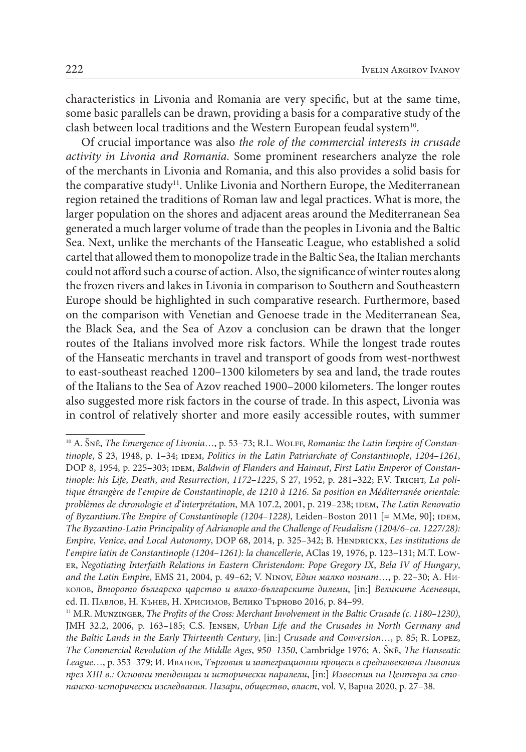characteristics in Livonia and Romania are very specific, but at the same time, some basic parallels can be drawn, providing a basis for a comparative study of the clash between local traditions and the Western European feudal system<sup>10</sup>.

Of crucial importance was also *the role of the commercial interests in crusade activity in Livonia and Romania*. Some prominent researchers analyze the role of the merchants in Livonia and Romania, and this also provides a solid basis for the comparative study<sup>11</sup>. Unlike Livonia and Northern Europe, the Mediterranean region retained the traditions of Roman law and legal practices. What is more, the larger population on the shores and adjacent areas around the Mediterranean Sea generated a much larger volume of trade than the peoples in Livonia and the Baltic Sea. Next, unlike the merchants of the Hanseatic League, who established a solid cartel that allowed them to monopolize trade in the Baltic Sea, the Italian merchants could not afford such a course of action. Also, the significance of winter routes along the frozen rivers and lakes in Livonia in comparison to Southern and Southeastern Europe should be highlighted in such comparative research. Furthermore, based on the comparison with Venetian and Genoese trade in the Mediterranean Sea, the Black Sea, and the Sea of Azov a conclusion can be drawn that the longer routes of the Italians involved more risk factors. While the longest trade routes of the Hanseatic merchants in travel and transport of goods from west-northwest to east-southeast reached 1200–1300 kilometers by sea and land, the trade routes of the Italians to the Sea of Azov reached 1900–2000 kilometers. The longer routes also suggested more risk factors in the course of trade. In this aspect, Livonia was in control of relatively shorter and more easily accessible routes, with summer

<sup>10</sup> A. Šnē, *The Emergence of Livonia*…, p. 53–73; R.L. Wolff, *Romania: the Latin Empire of Constantinople*, S 23, 1948, p. 1–34; *iDEM, Politics in the Latin Patriarchate of Constantinople*, *1204–1261*, DOP 8, 1954, p. 225-303; IDEM, *Baldwin of Flanders and Hainaut*, *First Latin Emperor of Constantinople: his Life*, *Death*, *and Resurrection*, *1172*–*1225*, S 27, 1952, p. 281–322; F.V. Tricht, *La politique étrangère de l*'*empire de Constantinople*, *de 1210 à 1216*. *Sa position en Méditerranée orientale: problèmes de chronologie et d*'*interprétation*, MA 107.2, 2001, р. 219–238; idem, *The Latin Renovatio of Byzantium.The Empire of Constantinople (1204–1228)*, Leiden-Boston 2011 [= ММе, 90]; IDEM, *The Byzantino*-*Latin Principality of Adrianople and the Challenge of Feudalism (1204/6*–*ca*. *1227/28): Empire*, *Venice*, *and Local Autonomy*, DOP 68, 2014, p. 325-342; B. HENDRICKX, *Les institutions de l*'*empire latin de Constantinople (1204*–*1261): la chancellerie*, AClas 19, 1976, p. 123–131; M.T. Lower, *Negotiating Interfaith Relations in Eastern Christendom: Pope Gregory IX*, *Bela IV of Hungary*, *and the Latin Empire*, EMS 21, 2004, p. 49–62; V. Ninov, *Един малко познат*…, p. 22–30; А. Николов, *Второто българско царство и влахо*-*българските дилеми*, [in:] *Великите Асеневци*, ed. П. Павлов, Н. Кънев, Н. Хрисимов, Велико Търново 2016, p. 84–99.

<sup>11</sup> M.R. Munzinger, *The Profits of the Cross: Merchant Involvement in the Baltic Crusade (c*. *1180*–*1230)*, JMH 32.2, 2006, p. 163–185; C.S. Jensen, *Urban Life and the Crusades in North Germany and the Baltic Lands in the Early Thirteenth Century*, [in:] *Crusade and Conversion*…, p. 85; R. Lopez, *The Commercial Revolution of the Middle Ages*, *950*–*1350*, Cambridge 1976; A. Šnē, *The Hanseatic League*…, p. 353–379; И. Иванов, *Търговия и интеграционни процеси в средновековна Ливония през XIII в*.*: Основни тенденции и исторически паралели*, [in:] *Известия на Центъра за стопанско*-*исторически изследвания*. *Пазари*, *общество*, *власт*, vol. V, Варна 2020, p. 27–38.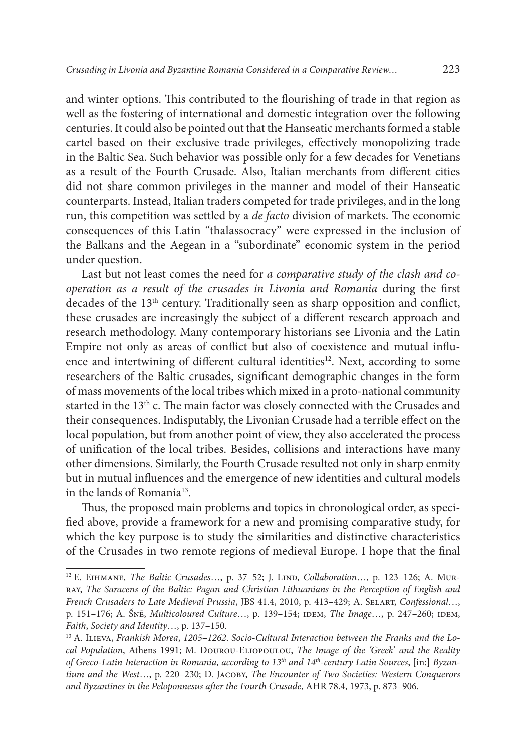and winter options. This contributed to the flourishing of trade in that region as well as the fostering of international and domestic integration over the following centuries. It could also be pointed out that the Hanseatic merchants formed a stable cartel based on their exclusive trade privileges, effectively monopolizing trade in the Baltic Sea. Such behavior was possible only for a few decades for Venetians as a result of the Fourth Crusade. Also, Italian merchants from different cities did not share common privileges in the manner and model of their Hanseatic counterparts. Instead, Italian traders competed for trade privileges, and in the long run, this competition was settled by a *de facto* division of markets. The economic consequences of this Latin "thalassocracy" were expressed in the inclusion of the Balkans and the Aegean in a "subordinate" economic system in the period under question.

Last but not least comes the need for *a comparative study of the clash and cooperation as a result of the crusades in Livonia and Romania* during the first decades of the 13<sup>th</sup> century. Traditionally seen as sharp opposition and conflict, these crusades are increasingly the subject of a different research approach and research methodology. Many contemporary historians see Livonia and the Latin Empire not only as areas of conflict but also of coexistence and mutual influence and intertwining of different cultural identities<sup>12</sup>. Next, according to some researchers of the Baltic crusades, significant demographic changes in the form of mass movements of the local tribes which mixed in a proto-national community started in the 13<sup>th</sup> c. The main factor was closely connected with the Crusades and their consequences. Indisputably, the Livonian Crusade had a terrible effect on the local population, but from another point of view, they also accelerated the process of unification of the local tribes. Besides, collisions and interactions have many other dimensions. Similarly, the Fourth Crusade resulted not only in sharp enmity but in mutual influences and the emergence of new identities and cultural models in the lands of Romania<sup>13</sup>.

Thus, the proposed main problems and topics in chronological order, as specified above, provide a framework for a new and promising comparative study, for which the key purpose is to study the similarities and distinctive characteristics of the Crusades in two remote regions of medieval Europe. I hope that the final

<sup>&</sup>lt;sup>12</sup> E. EIHMANE, *The Baltic Crusades*…, p. 37–52; J. LIND, *Collaboration*…, p. 123–126; A. Murray, *The Saracens of the Baltic: Pagan and Christian Lithuanians in the Perception of English and French Crusaders to Late Medieval Prussia*, JBS 41.4, 2010, p. 413–429; A. Selart, *Confessional*…, p. 151–176; A. Šnē, *Multicoloured Culture*…, p. 139–154; idem, *The Image*…, p. 247–260; idem, *Faith*, *Society and Identity*…, p. 137–150.

<sup>13</sup> A. Ilieva, *Frankish Morea*, *1205*–*1262*. *Socio*-*Cultural Interaction between the Franks and the Local Population*, Athens 1991; M. Dourou-Eliopoulou, *The Image of the 'Greek*' *and the Reality of Greco*-*Latin Interaction in Romania*, *according to 13th and 14th*-*century Latin Sources*, [in:] *Byzantium and the West*…, p. 220–230; D. Jacoby, *The Encounter of Two Societies: Western Conquerors and Byzantines in the Peloponnesus after the Fourth Crusade*, AHR 78.4, 1973, p. 873–906.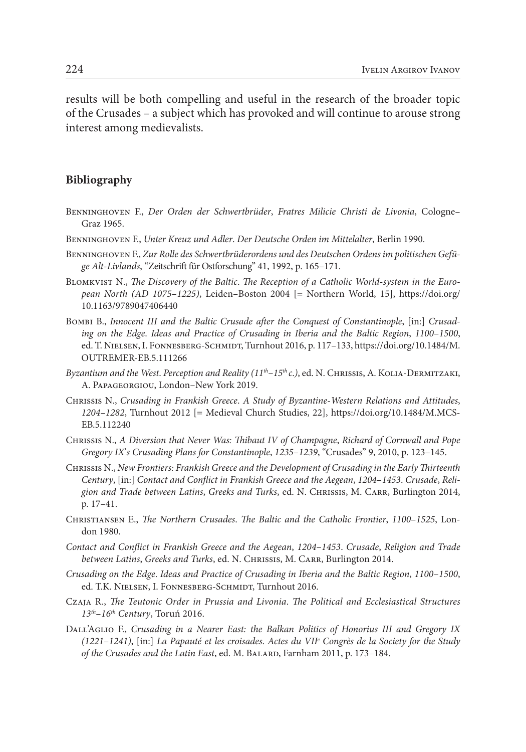results will be both compelling and useful in the research of the broader topic of the Crusades – a subject which has provoked and will continue to arouse strong interest among medievalists.

## **Bibliography**

- Benninghoven F., *Der Orden der Schwertbrüder*, *Fratres Milicie Christi de Livonia*, Cologne– Graz 1965.
- Benninghoven F., *Unter Kreuz und Adler*. *Der Deutsche Orden im Mittelalter*, Berlin 1990.
- Benninghoven F., *Zur Rolle des Schwertbrüderordens und des Deutschen Ordens im politischen Gefüge Alt*-*Livlands*, "Zeitschrift für Ostforschung" 41, 1992, p. 165–171.
- Blomkvist N., *The Discovery of the Baltic*. *The Reception of a Catholic World*-*system in the European North (AD 1075*–*1225)*, Leiden–Boston 2004 [= Northern World, 15], [https://doi.org/](https://doi.org/10.1163/9789047406440) [10.1163/9789047406440](https://doi.org/10.1163/9789047406440)
- Bombi B., *Innocent III and the Baltic Crusade after the Conquest of Constantinople*, [in:] *Crusading on the Edge*. *Ideas and Practice of Crusading in Iberia and the Baltic Region*, *1100*–*1500*, ed. T. NIELSEN, I. FONNESBERG-SCHMIDT, Turnhout 2016, p. 117–133, [https://doi.org/10.1484/M.](https://doi.org/10.1484/M.OUTREMER-EB.5.111266) [OUTREMER-EB.5.111266](https://doi.org/10.1484/M.OUTREMER-EB.5.111266)
- *Byzantium and the West*. *Perception and Reality (11th*–*15th c*.*)*, ed. N. Chrissis, A. Kolia-Dermitzaki, A. Papageorgiou, London–New York 2019.
- Chrissis N., *Crusading in Frankish Greece*. *A Study of Byzantine*-*Western Relations and Attitudes*, *1204*–*1282*, Turnhout 2012 [= Medieval Church Studies, 22], [https://doi.org/10.1484/M.MCS-](https://doi.org/10.1484/M.MCS-EB.5.112240)[EB.5.112240](https://doi.org/10.1484/M.MCS-EB.5.112240)
- Chrissis N., *A Diversion that Never Was: Thibaut IV of Champagne*, *Richard of Cornwall and Pope Gregory IX*'*s Crusading Plans for Constantinople*, *1235*–*1239*, "Crusades" 9, 2010, p. 123–145.
- Chrissis N., *New Frontiers: Frankish Greece and the Development of Crusading in the Early Thirteenth Century*, [in:] *Contact and Conflict in Frankish Greece and the Aegean*, *1204*–*1453*. *Crusade*, *Religion and Trade between Latins*, *Greeks and Turks*, ed. N. Chrissis, M. Carr, Burlington 2014, p. 17–41.
- Christiansen E., *The Northern Crusades*. *The Baltic and the Catholic Frontier*, *1100*–*1525*, London 1980.
- *Contact and Conflict in Frankish Greece and the Aegean*, *1204*–*1453*. *Crusade*, *Religion and Trade between Latins*, *Greeks and Turks*, ed. N. Chrissis, M. Carr, Burlington 2014.
- *Crusading on the Edge*. *Ideas and Practice of Crusading in Iberia and the Baltic Region*, *1100*–*1500*, ed. T.K. NIELSEN, I. FONNESBERG-SCHMIDT, Turnhout 2016.
- Czaja R., *The Teutonic Order in Prussia and Livonia*. *The Political and Ecclesiastical Structures 13th*–*16th Century*, Toruń 2016.
- Dall'Aglio F., *Crusading in a Nearer East: the Balkan Politics of Honorius III and Gregory IX (1221*–*1241)*, [in:] *La Papauté et les croisades*. *Actes du VIIe Congrès de la Society for the Study of the Crusades and the Latin East*, ed. M. Balard, Farnham 2011, p. 173–184.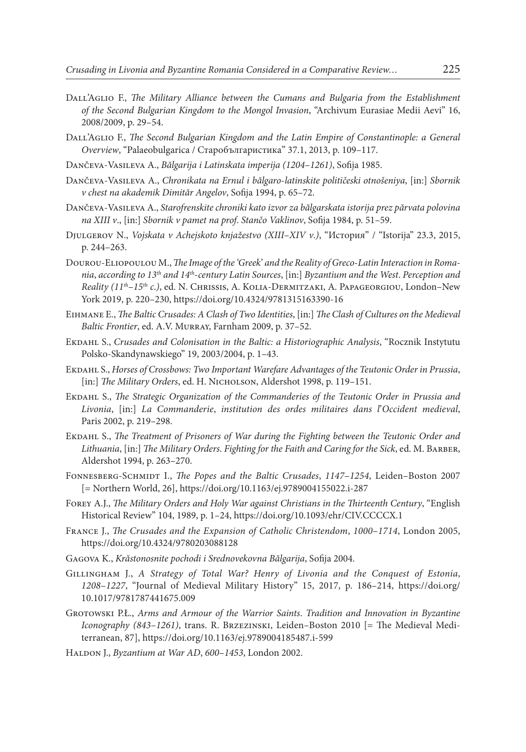- DALL'AGLIO F., *The Military Alliance between the Cumans and Bulgaria from the Establishment of the Second Bulgarian Kingdom to the Mongol Invasion*, "Archivum Eurasiae Medii Aevi" 16, 2008/2009, p. 29–54.
- DALL'AGLIO F., *The Second Bulgarian Kingdom and the Latin Empire of Constantinople: a General Overview*, "Palaeobulgarica / Старобългаристика" 37.1, 2013, p. 109–117.
- Dančeva-Vasileva A., *Bălgarija i Latinskata imperija (1204*–*1261)*, Sofija 1985.
- Dančeva-Vasileva A., *Chronikata na Ernul i bălgaro*-*latinskite političeski otnošeniya*, [in:] *Sbornik v chest na akademik Dimităr Angelov*, Sofija 1994, p. 65–72.
- Dančeva-Vasileva A., *Starofrenskite chroniki kato izvor za bălgarskata istorija prez părvata polovina na XІІІ v*., [in:] *Sbornik v pamet na prof*. *Stančo Vaklinov*, Sofija 1984, p. 51–59.
- Djulgerov N., *Vojskata v Achejskoto knjažestvo (XIII*–*XIV v*.*)*, "История" / "Istorija" 23.3, 2015, p. 244–263.
- Dourou-Eliopoulou M.,*The Image of the 'Greek*' *and the Reality of Greco*-*Latin Interaction in Romania*, *according to 13th and 14th*-*century Latin Sources*, [in:] *Byzantium and the West*. *Perception and Reality (11th*–*15th c*.*)*, ed. N. Chrissis, A. Kolia-Dermitzaki, A. Papageorgiou, London–New York 2019, p. 220–230,<https://doi.org/10.4324/9781315163390-16>
- Eihmane E., *The Baltic Crusades: A Clash of Two Identities*, [in:] *The Clash of Cultures on the Medieval Baltic Frontier*, ed. A.V. Murray, Farnham 2009, p. 37–52.
- Ekdahl S., *Crusades and Colonisation in the Baltic: a Historiographic Analysis*, "Rocznik Instytutu Polsko-Skandynawskiego" 19, 2003/2004, p. 1–43.
- Ekdahl S., *Horses of Crossbows: Two Important Warefare Advantages of the Teutonic Order in Prussia*, [in:] *The Military Orders*, ed. H. Nicholson, Aldershot 1998, p. 119-151.
- Ekdahl S., *The Strategic Organization of the Commanderies of the Teutonic Order in Prussia and Livonia*, [in:] *La Commanderie*, *institution des ordes militaires dans l*'*Occident medieval*, Paris 2002, p. 219–298.
- Ekdahl S., *The Treatment of Prisoners of War during the Fighting between the Teutonic Order and Lithuania*, [in:] *The Military Orders*. *Fighting for the Faith and Caring for the Sick*, ed. M. Barber, Aldershot 1994, p. 263–270.
- Fonnesberg-Schmidt I., *The Popes and the Baltic Crusades*, *1147*–*1254*, Leiden–Boston 2007 [= Northern World, 26], <https://doi.org/10.1163/ej.9789004155022.i-287>
- Forey A.J., *The Military Orders and Holy War against Christians in the Thirteenth Century*, "English Historical Review" 104, 1989, p. 1–24, <https://doi.org/10.1093/ehr/CIV.CCCCX.1>
- France J., *The Crusades and the Expansion of Catholic Christendom*, *1000*–*1714*, London 2005, <https://doi.org/10.4324/9780203088128>
- Gagova K., *Krăstonosnite pochodi i Srednovekovna Bălgarija*, Sofija 2004.
- Gillingham J., *A Strategy of Total War? Henry of Livonia and the Conquest of Estonia*, *1208*–*1227*, "Journal of Medieval Military History" 15, 2017, p. 186–214, [https://doi.org/](https://doi.org/10.1017/9781787441675.009) [10.1017/9781787441675.009](https://doi.org/10.1017/9781787441675.009)
- Grotowski P.Ł., *Arms and Armour of the Warrior Saints*. *Tradition and Innovation in Byzantine Iconography (843*–*1261)*, trans. R. Brzezinski, Leiden–Boston 2010 [= The Medieval Mediterranean, 87], <https://doi.org/10.1163/ej.9789004185487.i-599>
- Haldon J., *Byzantium at War AD*, *600*–*1453*, London 2002.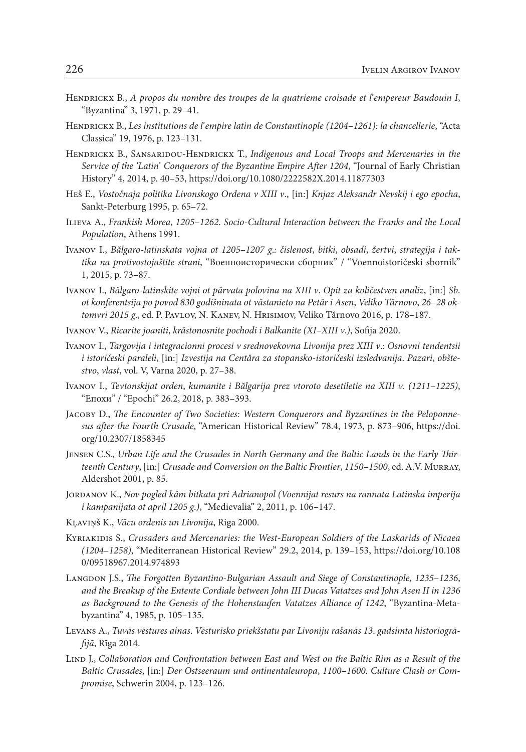- Hendrickx B., *A propos du nombre des troupes de la quatrieme croisade et l*'*empereur Baudouin I*, "Byzantina" 3, 1971, p. 29–41.
- Hendrickx B., *Les institutions de l*'*empire latin de Constantinople (1204*–*1261): la chancellerie*, "Acta Classica" 19, 1976, p. 123–131.
- Hendrickx B., Sansaridou-Hendrickx T., *Indigenous and Local Troops and Mercenaries in the Service of the 'Latin*' *Conquerors of the Byzantine Empire After 1204*, "Journal of Early Christian History" 4, 2014, p. 40–53,<https://doi.org/10.1080/2222582X.2014.11877303>
- Heš E., *Vostočnaja politika Livonskogo Ordena v XІІІ v*., [in:] *Knjaz Aleksandr Nevskij i ego epocha*, Sankt-Peterburg 1995, p. 65–72.
- Ilieva A., *Frankish Morea*, *1205*–*1262*. *Socio*-*Cultural Interaction between the Franks and the Local Population*, Athens 1991.
- Ivanov I., *Bălgaro*-*latinskata vojna ot 1205*–*1207 g*.*: čislenost*, *bitki*, *obsadi*, *žertvi*, *strategija i taktika na protivostojaštite strani*, "Военноисторически сборник" / "Voennoistoričeski sbornik" 1, 2015, p. 73–87.
- Ivanov I., *Bălgaro*-*latinskite vojni ot părvata polovina na XIII v*. *Opit za količestven analiz*, [in:] *Sb*. *ot konferentsija po povod 830 godišninata ot văstanieto na Petăr i Asen*, *Veliko Tărnovo*, *26*–*28 oktomvri 2015 g*., ed. P. Pavlov, N. Kanev, N. Hrisimov, Veliko Tărnovo 2016, p. 178–187.
- Ivanov V., *Ricarite joaniti*, *krăstonosnite pochodi i Balkanite (XI*–*XIII v*.*)*, Sofija 2020.
- Ivanov I., *Targovija i integracionni procesi v srednovekovna Livonija prez XIII v*.*: Osnovni tendentsii i istoričeski paraleli*, [in:] *Izvestija na Centăra za stopansko*-*istoričeski izsledvanija*. *Pazari*, *obštestvo*, *vlast*, vol. V, Varna 2020, p. 27–38.
- Ivanov I., *Tevtonskijat orden*, *kumanite i Bălgarija prez vtoroto desetiletie na XIII v*. *(1211*–*1225)*, "Епохи" / "Epochi" 26.2, 2018, p. 383–393.
- Jacoby D., *The Encounter of Two Societies: Western Conquerors and Byzantines in the Peloponnesus after the Fourth Crusade*, "American Historical Review" 78.4, 1973, p. 873–906, [https://doi.](https://doi.org/10.2307/1858345) [org/10.2307/1858345](https://doi.org/10.2307/1858345)
- Jensen C.S., *Urban Life and the Crusades in North Germany and the Baltic Lands in the Early Thirteenth Century*, [in:] *Crusade and Conversion on the Baltic Frontier*, *1150*–*1500*, ed. A.V. Murray, Aldershot 2001, p. 85.
- Jordanov K., *Nov pogled kăm bitkata pri Adrianopol (Voennijat resurs na rannata Latinska imperija i kampanijata ot april 1205 g*.*)*, "Medievalia" 2, 2011, p. 106–147.
- Kļaviņš K., *Vācu ordenis un Livonija*, Riga 2000.
- Kyriakidis S., *Crusaders and Mercenaries: the West*-*European Soldiers of the Laskarids of Nicaea (1204*–*1258)*, "Mediterranean Historical Review" 29.2, 2014, p. 139–153, [https://doi.org/10.108](https://doi.org/10.1080/09518967.2014.974893) [0/09518967.2014.974893](https://doi.org/10.1080/09518967.2014.974893)
- Langdon J.S., *The Forgotten Byzantino*-*Bulgarian Assault and Siege of Constantinople*, *1235*–*1236*, *and the Breakup of the Entente Cordiale between John III Ducas Vatatzes and John Asen II in 1236 as Background to the Genesis of the Hohenstaufen Vatatzes Alliance of 1242*, "Byzantina-Metabyzantina" 4, 1985, p. 105–135.
- Levans A., *Tuvās vēstures ainas*. *Vēsturisko priekšstatu par Livoniju rašanās 13*. *gadsimta historiogrāfijā*, Rīga 2014.
- LIND J., *Collaboration and Confrontation between East and West on the Baltic Rim as a Result of the Baltic Crusades*, [in:] *Der Ostseeraum und ontinentaleuropa*, *1100*–*1600*. *Culture Clash or Compromise*, Schwerin 2004, p. 123–126.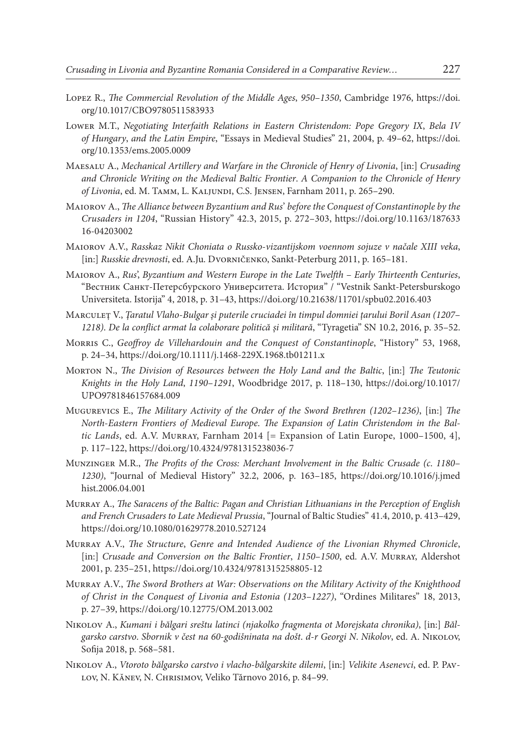- Lopez R., *The Commercial Revolution of the Middle Ages*, *950*–*1350*, Cambridge 1976, [https://doi.](https://doi.org/10.1017/CBO9780511583933) [org/10.1017/CBO9780511583933](https://doi.org/10.1017/CBO9780511583933)
- Lower M.T., *Negotiating Interfaith Relations in Eastern Christendom: Pope Gregory IX*, *Bela IV of Hungary*, *and the Latin Empire*, "Essays in Medieval Studies" 21, 2004, p. 49–62, [https://doi.](https://doi.org/10.1353/ems.2005.0009) [org/10.1353/ems.2005.0009](https://doi.org/10.1353/ems.2005.0009)
- Maesalu A., *Mechanical Artillery and Warfare in the Chronicle of Henry of Livonia*, [in:] *Crusading and Chronicle Writing on the Medieval Baltic Frontier*. *A Companion to the Chronicle of Henry of Livonia*, ed. M. Tamm, L. Kaljundi, C.S. Jensen, Farnham 2011, p. 265–290.
- Maiorov A., *The Alliance between Byzantium and Rus*' *before the Conquest of Constantinople by the Crusaders in 1204*, "Russian History" 42.3, 2015, p. 272–303, [https://doi.org/10.1163/187633](https://doi.org/10.1163/18763316-04203002) [16-04203002](https://doi.org/10.1163/18763316-04203002)
- Maiorov A.V., *Rasskaz Nikit Choniata o Russko*-*vizantijskom voennom sojuze v načale XIII veka*, [in:] *Russkie drevnosti*, ed. A.Ju. Dvorničenko, Sankt-Peterburg 2011, p. 165–181.
- Maiorov А., *Rus*', *Byzantium and Western Europe in the Late Twelfth* – *Early Thirteenth Centuries*, "Вестник Санкт-Петерсбурского Университета. История" / "Vestnik Sankt-Petersburskogo Universiteta. Istorija" 4, 2018, p. 31–43, <https://doi.org/10.21638/11701/spbu02.2016.403>
- Marculeț V., *Țaratul Vlaho*-*Bulgar și puterile cruciadei în timpul domniei țarului Boril Asan (1207 1218)*. *De la conflict armat la colaborare politică și militară*, "Tyragetia" SN 10.2, 2016, p. 35–52.
- Morris C., *Geoffroy de Villehardouin and the Conquest of Constantinople*, "History" 53, 1968, p. 24–34,<https://doi.org/10.1111/j.1468-229X.1968.tb01211.x>
- Morton N., *The Division of Resources between the Holy Land and the Baltic*, [in:] *The Teutonic Knights in the Holy Land*, *1190*–*1291*, Woodbridge 2017, p. 118–130, [https://doi.org/10.1017/](https://doi.org/10.1017/UPO9781846157684.009) [UPO9781846157684.009](https://doi.org/10.1017/UPO9781846157684.009)
- Mugurevics E., *The Military Activity of the Order of the Sword Brethren (1202*–*1236)*, [in:] *The North*-*Eastern Frontiers of Medieval Europe*. *The Expansion of Latin Christendom in the Baltic Lands*, ed. A.V. Murray, Farnham 2014 [= Expansion of Latin Europe, 1000–1500, 4], p. 117–122, https://doi.org/10.4324/9781315238036-7
- Munzinger M.R., *The Profits of the Cross: Merchant Involvement in the Baltic Crusade (c*. *1180 1230)*, "Journal of Medieval History" 32.2, 2006, p. 163–185, [https://doi.org/10.1016/j.jmed](https://doi.org/10.1016/j.jmedhist.2006.04.001) [hist.2006.04.001](https://doi.org/10.1016/j.jmedhist.2006.04.001)
- Murray A., *The Saracens of the Baltic: Pagan and Christian Lithuanians in the Perception of English and French Crusaders to Late Medieval Prussia*, "Journal of Baltic Studies" 41.4, 2010, p. 413–429, <https://doi.org/10.1080/01629778.2010.527124>
- Murray A.V., *The Structure*, *Genre and Intended Audience of the Livonian Rhymed Chronicle*, [in:] *Crusade and Conversion on the Baltic Frontier*, *1150*–*1500*, ed. A.V. Murray, Aldershot 2001, p. 235–251,<https://doi.org/10.4324/9781315258805-12>
- Murray A.V., *The Sword Brothers at War: Observations on the Military Activity of the Knighthood of Christ in the Conquest of Livonia and Estonia (1203*–*1227)*, "Ordines Militares" 18, 2013, p. 27–39,<https://doi.org/10.12775/OM.2013.002>
- Nikolov A., *Kumani i bălgari sreštu latinci (njakolko fragmenta ot Morejskata chronika)*, [in:] *Bălgarsko carstvo*. *Sbornik v čest na 60*-*godišninata na došt*. *d*-*r Georgi N*. *Nikolov*, ed. A. Nikolov, Sofija 2018, p. 568–581.
- Nikolov A., *Vtoroto bălgarsko carstvo i vlacho*-*bălgarskite dilemi*, [in:] *Velikite Asenevci*, ed. P. Pavlov, N. Kănev, N. Chrisimov, Veliko Tărnovo 2016, p. 84–99.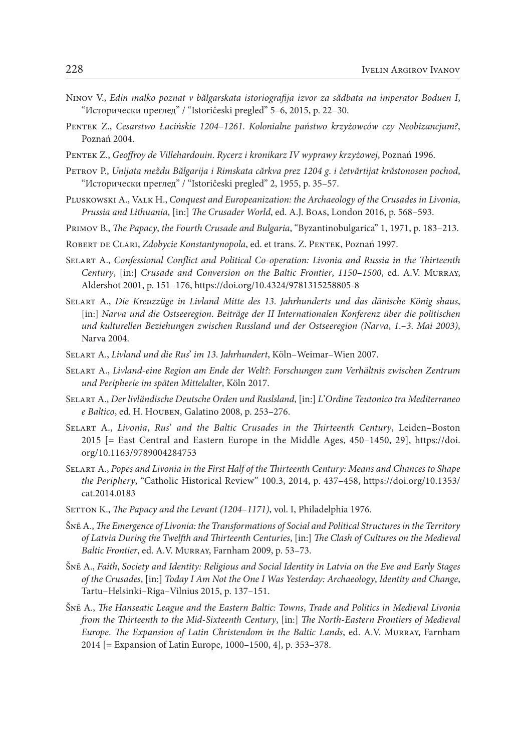- Ninov V., *Edin malko poznat v bălgarskata istoriografija izvor za sădbata na imperator Boduen I*, "Исторически преглед" / "Istoričeski pregled" 5–6, 2015, p. 22–30.
- Pentek Z., *Cesarstwo Łacińskie 1204*–*1261*. *Kolonialne państwo krzyżowców czy Neobizancjum?*, Poznań 2004.
- Pentek Z., *Geoffroy de Villehardouin*. *Rycerz i kronikarz IV wyprawy krzyżowej*, Poznań 1996.
- Petrov P., *Unijata meždu Bălgarija i Rimskata cărkva prez 1204 g*. *i četvărtijat krăstonosen pochod*, "Исторически преглед" / "Istoričeski pregled" 2, 1955, p. 35–57.
- Pluskowski A., Valk H., *Conquest and Europeanization: the Archaeology of the Crusades in Livonia*, *Prussia and Lithuania*, [in:] *The Crusader World*, ed. A.J. Boas, London 2016, p. 568–593.
- Primov B., *The Papacy*, *the Fourth Crusade and Bulgaria*, "Byzantinobulgarica" 1, 1971, p. 183–213.
- ROBERT DE CLARI, *Zdobycie Konstantynopola*, ed. et trans. Z. PENTEK, Poznań 1997.
- Selart A., *Confessional Conflict and Political Co*-*operation: Livonia and Russia in the Thirteenth Century*, [in:] *Crusade and Conversion on the Baltic Frontier*, *1150*–*1500*, ed. A.V. Murray, Aldershot 2001, p. 151–176,<https://doi.org/10.4324/9781315258805-8>
- Selart A., *Die Kreuzzüge in Livland Mitte des 13*. *Jahrhunderts und das dänische König shaus*, [in:] *Narva und die Ostseeregion*. *Beiträge der II Internationalen Konferenz über die politischen und kulturellen Beziehungen zwischen Russland und der Ostseeregion (Narva*, *1*.–*3*. *Mai 2003)*, Narva 2004.
- Selart A., *Livland und die Rus*' *im 13*. *Jahrhundert*, Köln–Weimar–Wien 2007.
- Selart A., *Livland*-*eine Region am Ende der Welt?: Forschungen zum Verhältnis zwischen Zentrum und Peripherie im späten Mittelalter*, Köln 2017.
- Selart A., *Der livländische Deutsche Orden und Ruslsland*, [in:] *L*'*Ordine Teutonico tra Mediterraneo e Baltico*, ed. H. Houben, Galatino 2008, p. 253–276.
- Selart A., *Livonia*, *Rus*' *and the Baltic Crusades in the Thirteenth Century*, Leiden–Boston 2015 [= East Central and Eastern Europe in the Middle Ages, 450–1450, 29], [https://doi.](https://doi.org/10.1163/9789004284753) [org/10.1163/9789004284753](https://doi.org/10.1163/9789004284753)
- Selart A., *Popes and Livonia in the First Half of the Thirteenth Century: Means and Chances to Shape the Periphery*, "Catholic Historical Review" 100.3, 2014, p. 437–458, [https://doi.org/10.1353/](https://doi.org/10.1353/cat.2014.0183) [cat.2014.0183](https://doi.org/10.1353/cat.2014.0183)
- SETTON K., *The Papacy and the Levant (1204–1171)*, vol. I, Philadelphia 1976.
- Šnē A., *The Emergence of Livonia: the Transformations of Social and Political Structures in the Territory of Latvia During the Twelfth and Thirteenth Centuries*, [in:] *The Clash of Cultures on the Medieval Baltic Frontier*, ed. A.V. Murray, Farnham 2009, p. 53–73.
- Šnē A., *Faith*, *Society and Identity: Religious and Social Identity in Latvia on the Eve and Early Stages of the Crusades*, [in:] *Today I Am Not the One I Was Yesterday: Archaeology*, *Identity and Change*, Tartu–Helsinki–Riga–Vilnius 2015, p. 137–151.
- Šnē A., *The Hanseatic League and the Eastern Baltic: Towns*, *Trade and Politics in Medieval Livonia from the Thirteenth to the Mid*-*Sixteenth Century*, [in:] *The North*-*Eastern Frontiers of Medieval Europe*. *The Expansion of Latin Christendom in the Baltic Lands*, ed. A.V. Murray, Farnham 2014 [= Expansion of Latin Europe, 1000–1500, 4], p. 353–378.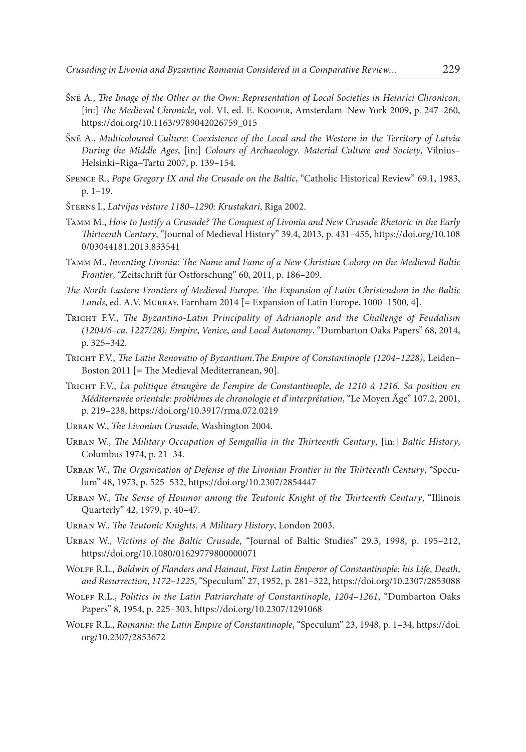- Šnē A., *The Image of the Other or the Own: Representation of Local Societies in Heinrici Chronicon*, [in:] *The Medieval Chronicle*, vol. VI, ed. E. Kooper, Amsterdam–New York 2009, p. 247–260, [https://doi.org/10.1163/9789042026759\\_015](https://doi.org/10.1163/9789042026759_015)
- Šnē A., *Multicoloured Culture: Coexistence of the Local and the Western in the Territory of Latvia During the Middle Ages*, [in:] *Colours of Archaeology*. *Material Culture and Society*, Vilnius– Helsinki–Riga–Tartu 2007, p. 139–154.
- Spence R., *Pope Gregory IX and the Crusade on the Baltic*, "Catholic Historical Review" 69.1, 1983, p. 1–19.
- Šterns I., *Latvijas vēsture 1180*–*1290: Krustakari*, Rīga 2002.
- Tamm M., *How to Justify a Crusade? The Conquest of Livonia and New Crusade Rhetoric in the Early Thirteenth Century*, "Journal of Medieval History" 39.4, 2013, p. 431–455, [https://doi.org/10.108](https://doi.org/10.1080/03044181.2013.833541) [0/03044181.2013.833541](https://doi.org/10.1080/03044181.2013.833541)
- Tamm M., *Inventing Livonia: The Name and Fame of a New Christian Colony on the Medieval Baltic Frontier*, "Zeitschrift für Ostforschung" 60, 2011, p. 186–209.
- *The North*-*Eastern Frontiers of Medieval Europe*. *The Expansion of Latin Christendom in the Baltic Lands*, ed. A.V. Murray, Farnham 2014 [= Expansion of Latin Europe, 1000–1500, 4].
- Tricht F.V., *The Byzantino*-*Latin Principality of Adrianople and the Challenge of Feudalism (1204/6*–*ca*. *1227/28): Empire*, *Venice*, *and Local Autonomy*, "Dumbarton Oaks Papers" 68, 2014, p. 325–342.
- Tricht F.V., *The Latin Renovatio of Byzantium*.*The Empire of Constantinople (1204*–*1228)*, Leiden– Boston 2011 [= The Medieval Mediterranean, 90].
- Tricht F.V., *La politique étrangère de l*'*empire de Constantinople*, *de 1210 à 1216*. *Sa position en Méditerranée orientale: problèmes de chronologie et d*'*interprétation*, "Le Moyen Âge" 107.2, 2001, р. 219–238,<https://doi.org/10.3917/rma.072.0219>
- Urban W., *The Livonian Crusade*, Washington 2004.
- Urban W., *The Military Occupation of Semgallia in the Thirteenth Century*, [in:] *Baltic History*, Columbus 1974, p. 21–34.
- Urban W., *The Organization of Defense of the Livonian Frontier in the Thirteenth Century*, "Speculum" 48, 1973, р. 525–532, https://doi.org/10.2307/2854447
- Urban W., *The Sense of Houmor among the Teutonic Knight of the Thirteenth Century*, "Illinois Quarterly" 42, 1979, р. 40–47.
- Urban W., *The Teutonic Knights*. *A Military History*, London 2003.
- Urban W., *Victims of the Baltic Crusade*, "Journal of Baltic Studies" 29.3, 1998, р. 195–212, <https://doi.org/10.1080/01629779800000071>
- Wolff R.L., *Baldwin of Flanders and Hainaut*, *First Latin Emperor of Constantinople: his Life*, *Death*, *and Resurrection*, *1172*–*1225*, "Speculum" 27, 1952, p. 281–322,<https://doi.org/10.2307/2853088>
- Wolff R.L., *Politics in the Latin Patriarchate of Constantinople*, *1204*–*1261*, "Dumbarton Oaks Papers" 8, 1954, p. 225–303, <https://doi.org/10.2307/1291068>
- Wolff R.L., *Romania: the Latin Empire of Constantinople*, "Speculum" 23, 1948, p. 1–34, [https://doi.](https://doi.org/10.2307/2853672) [org/10.2307/2853672](https://doi.org/10.2307/2853672)